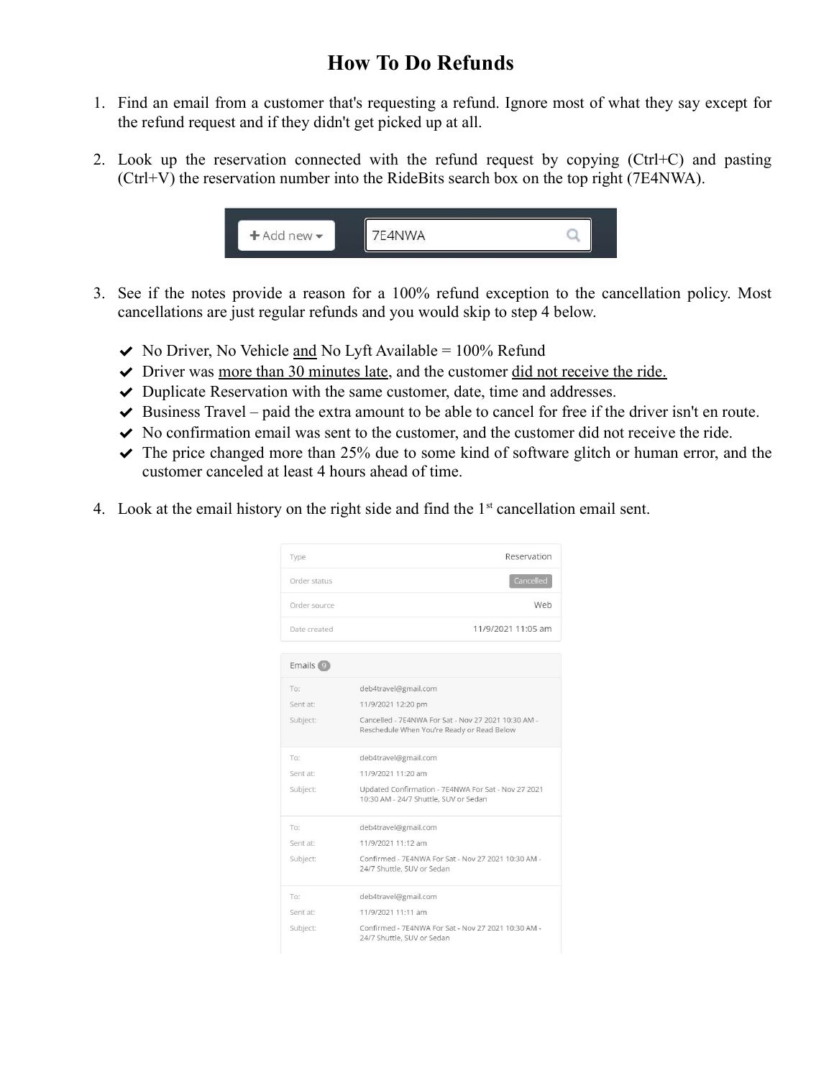## How To Do Refunds

- 1. Find an email from a customer that's requesting a refund. Ignore most of what they say except for the refund request and if they didn't get picked up at all.
- 2. Look up the reservation connected with the refund request by copying (Ctrl+C) and pasting (Ctrl+V) the reservation number into the RideBits search box on the top right (7E4NWA).



- 3. See if the notes provide a reason for a 100% refund exception to the cancellation policy. Most cancellations are just regular refunds and you would skip to step 4 below.
	- $\blacktriangleright$  No Driver, No Vehicle and No Lyft Available = 100% Refund
	- $\triangledown$  Driver was more than 30 minutes late, and the customer did not receive the ride.
	- $\triangledown$  Duplicate Reservation with the same customer, date, time and addresses.
	- $\blacktriangleright$  Business Travel paid the extra amount to be able to cancel for free if the driver isn't en route.
	- $\triangledown$  No confirmation email was sent to the customer, and the customer did not receive the ride.
	- $\blacktriangleright$  The price changed more than 25% due to some kind of software glitch or human error, and the customer canceled at least 4 hours ahead of time.
- 4. Look at the email history on the right side and find the  $1<sup>st</sup>$  cancellation email sent.

| Type                  | Reservation                                                                                       |
|-----------------------|---------------------------------------------------------------------------------------------------|
| Order status          | Cancelled                                                                                         |
| Order source          | Web                                                                                               |
| Date created          | 11/9/2021 11:05 am                                                                                |
|                       |                                                                                                   |
| Emails <sup>(9)</sup> |                                                                                                   |
| To:                   | deb4travel@gmail.com                                                                              |
| Sent at:              | 11/9/2021 12:20 pm                                                                                |
| Subject:              | Cancelled - 7E4NWA For Sat - Nov 27 2021 10:30 AM -<br>Reschedule When You're Ready or Read Below |
| To:                   | deb4travel@gmail.com                                                                              |
| Sent at:              | 11/9/2021 11:20 am                                                                                |
| Subject:              | Updated Confirmation - 7E4NWA For Sat - Nov 27 2021<br>10:30 AM - 24/7 Shuttle, SUV or Sedan      |
| To:                   | deb4travel@gmail.com                                                                              |
| Sent at:              | 11/9/2021 11:12 am                                                                                |
| Subject:              | Confirmed - 7E4NWA For Sat - Nov 27 2021 10:30 AM -<br>24/7 Shuttle, SUV or Sedan                 |
| To:                   | deb4travel@gmail.com                                                                              |
| Sent at:              | 11/9/2021 11:11 am                                                                                |
| Subject:              | Confirmed - 7E4NWA For Sat - Nov 27 2021 10:30 AM -<br>24/7 Shuttle, SUV or Sedan                 |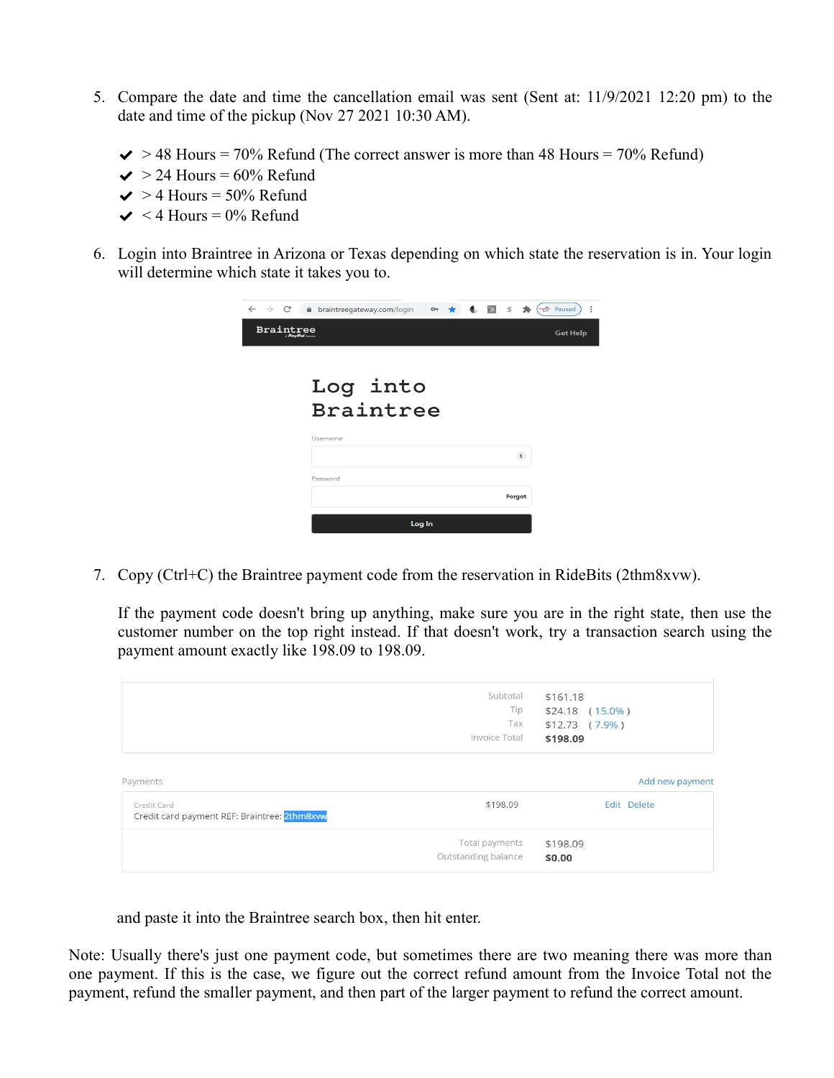- 5. Compare the date and time the cancellation email was sent (Sent at: 11/9/2021 12:20 pm) to the date and time of the pickup (Nov 27 2021 10:30 AM).
	- $\blacktriangleright$  > 48 Hours = 70% Refund (The correct answer is more than 48 Hours = 70% Refund)
	- $\blacktriangleright$  24 Hours = 60% Refund
	- $\blacktriangleright$  > 4 Hours = 50% Refund
	- $\blacktriangleright$  < 4 Hours = 0% Refund
- 6. Login into Braintree in Arizona or Texas depending on which state the reservation is in. Your login will determine which state it takes you to.

| $\leftarrow$ $\rightarrow$ C | $\bullet$ $\bullet$ $\bullet$ $\bullet$ $\bullet$ Paused<br>÷<br>braintreegateway.com/login<br>$\mathbf{a}$<br>$O_T$ $\star$ |
|------------------------------|------------------------------------------------------------------------------------------------------------------------------|
| <b>Braintree</b>             | <b>Get Help</b><br>A PayPal Service                                                                                          |
|                              |                                                                                                                              |
|                              | Log into                                                                                                                     |
|                              | <b>Braintree</b>                                                                                                             |
|                              | Username                                                                                                                     |
|                              | $\mathbf{i}$                                                                                                                 |
|                              | Password                                                                                                                     |
|                              | Forgot                                                                                                                       |
|                              | Log In                                                                                                                       |
|                              |                                                                                                                              |

7. Copy (Ctrl+C) the Braintree payment code from the reservation in RideBits (2thm8xvw).

If the payment code doesn't bring up anything, make sure you are in the right state, then use the customer number on the top right instead. If that doesn't work, try a transaction search using the payment amount exactly like 198.09 to 198.09.

|                                                            | Subtotal            | \$161.18           |                 |
|------------------------------------------------------------|---------------------|--------------------|-----------------|
|                                                            | Tip                 | \$24.18 (15.0%)    |                 |
|                                                            | Tax                 | $$12.73$ $(7.9\%)$ |                 |
|                                                            | Invoice Total       | \$198.09           |                 |
| Payments                                                   |                     |                    | Add new payment |
| Credit Card<br>Credit card payment REF: Braintree: 2thm8xw | \$198.09            |                    | Edit Delete     |
|                                                            | Total payments      | \$198.09           |                 |
|                                                            | Outstanding balance | \$0.00             |                 |
|                                                            |                     |                    |                 |

and paste it into the Braintree search box, then hit enter.

Note: Usually there's just one payment code, but sometimes there are two meaning there was more than one payment. If this is the case, we figure out the correct refund amount from the Invoice Total not the payment, refund the smaller payment, and then part of the larger payment to refund the correct amount.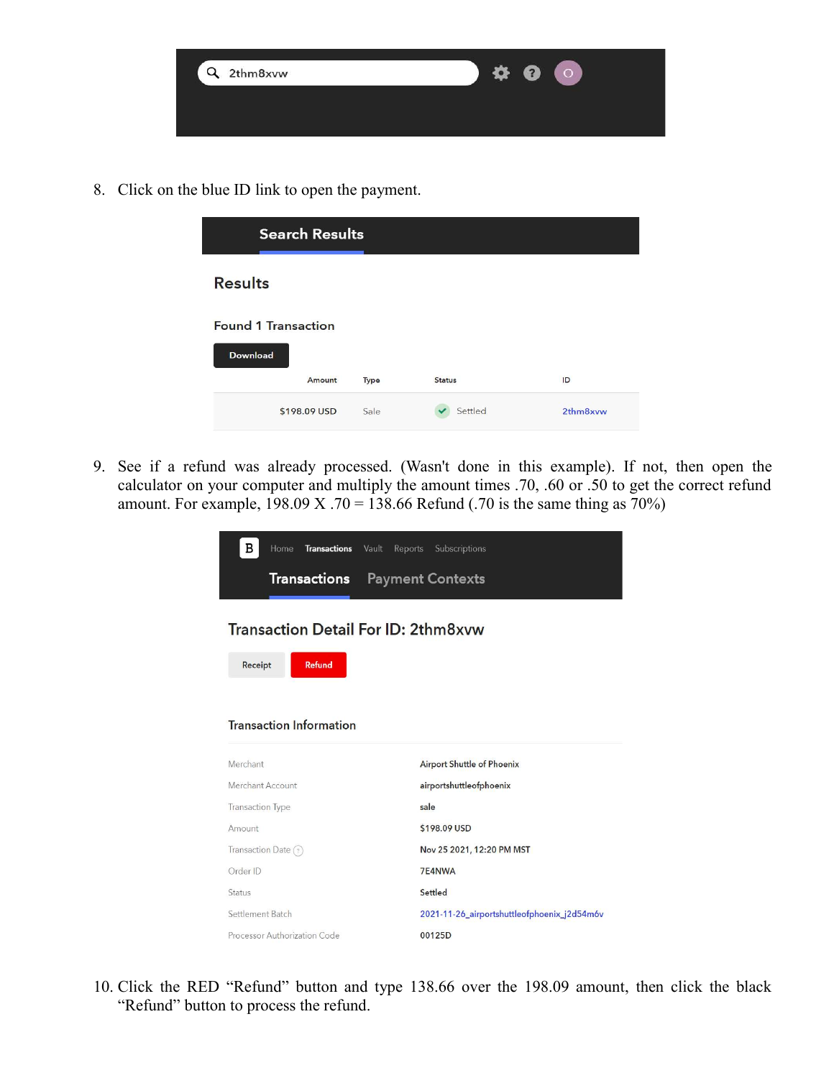

8. Click on the blue ID link to open the payment.

| <b>Search Results</b>                         |      |               |          |
|-----------------------------------------------|------|---------------|----------|
| <b>Results</b>                                |      |               |          |
| <b>Found 1 Transaction</b><br><b>Download</b> |      |               |          |
| Amount                                        | Type | <b>Status</b> | ID       |
| \$198.09 USD                                  | Sale | Settled       | 2thm8xvw |

9. See if a refund was already processed. (Wasn't done in this example). If not, then open the calculator on your computer and multiply the amount times .70, .60 or .50 to get the correct refund amount. For example,  $198.09 \text{ X}$ . 70 = 138.66 Refund (.70 is the same thing as 70%)

| в<br>Home<br><b>Transactions</b><br>Vault<br>Reports                                                     | Subscriptions                               |
|----------------------------------------------------------------------------------------------------------|---------------------------------------------|
| <b>Transactions</b>                                                                                      | <b>Payment Contexts</b>                     |
| <b>Transaction Detail For ID: 2thm8xvw</b><br><b>Refund</b><br>Receipt<br><b>Transaction Information</b> |                                             |
|                                                                                                          |                                             |
| Merchant                                                                                                 | <b>Airport Shuttle of Phoenix</b>           |
| Merchant Account                                                                                         | airportshuttleofphoenix                     |
| <b>Transaction Type</b>                                                                                  | sale                                        |
| Amount                                                                                                   | \$198.09 USD                                |
| Transaction Date $(2)$                                                                                   | Nov 25 2021, 12:20 PM MST                   |
| Order ID                                                                                                 | 7E4NWA                                      |
| Status                                                                                                   | Settled                                     |
| Settlement Batch                                                                                         | 2021-11-26_airportshuttleofphoenix_j2d54m6v |
| Processor Authorization Code                                                                             | 00125D                                      |

10. Click the RED "Refund" button and type 138.66 over the 198.09 amount, then click the black "Refund" button to process the refund.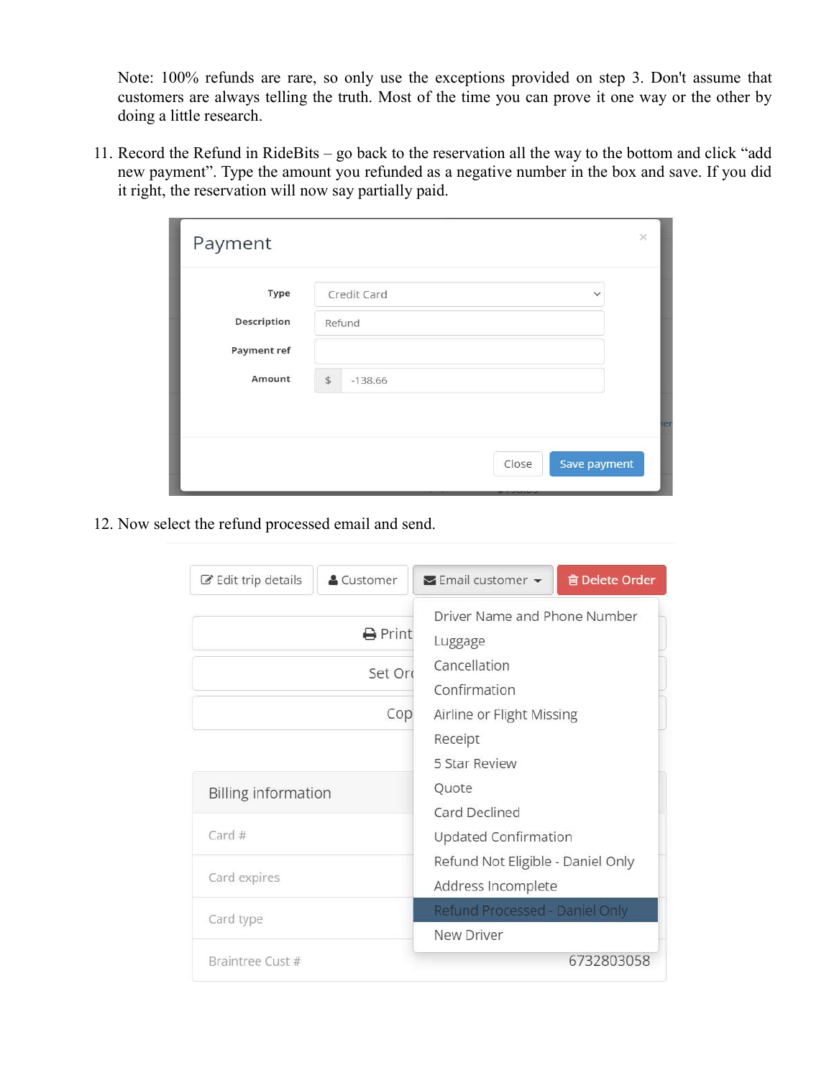Note: 100% refunds are rare, so only use the exceptions provided on step 3. Don't assume that customers are always telling the truth. Most of the time you can prove it one way or the other by doing a little research.

11. Record the Refund in RideBits – go back to the reservation all the way to the bottom and click "add new payment". Type the amount you refunded as a negative number in the box and save. If you did it right, the reservation will now say partially paid.

| Payment     |                             | $\times$ |
|-------------|-----------------------------|----------|
| Type        | Credit Card<br>$\checkmark$ |          |
| Description | Refund                      |          |
| Payment ref |                             |          |
| Amount      | $$\mathsf{S}$$<br>$-138.66$ |          |
|             |                             | ler      |
|             | Save payment<br>Close       |          |
|             | <b>THE MANY</b>             |          |

12. Now select the refund processed email and send.

| $\mathscr{C}$ Edit trip details | & Customer                      | <b>画 Delete Order</b><br>$\blacktriangleright$ Email customer $\blacktriangleright$                  |  |
|---------------------------------|---------------------------------|------------------------------------------------------------------------------------------------------|--|
|                                 | <b>A</b> Print<br>Set Or<br>Cop | Driver Name and Phone Number<br>Luggage<br>Cancellation<br>Confirmation<br>Airline or Flight Missing |  |
|                                 |                                 | Receipt<br>5 Star Review                                                                             |  |
| <b>Billing information</b>      |                                 | Quote<br>Card Declined                                                                               |  |
| Card $#$                        |                                 | Updated Confirmation                                                                                 |  |
| Card expires                    |                                 | Refund Not Eligible - Daniel Only<br>Address Incomplete                                              |  |
| Card type                       |                                 | Refund Processed - Daniel Only<br>New Driver                                                         |  |
| Braintree Cust #                |                                 | 6732803058                                                                                           |  |